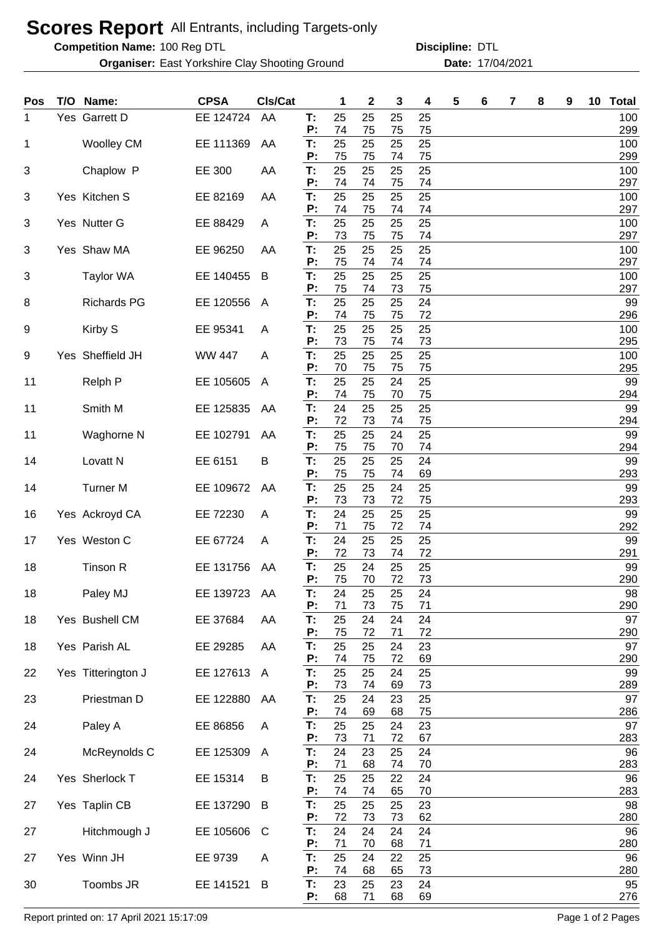## **Scores Report** All Entrants, including Targets-only

**Competition Name:**

**Organiser:** East Yorkshire Clay Shooting Ground **17/04/2021** Date: 17/04/2021

100 Reg DTL **Discipline:** DTL

| Pos | T/O Name:           | <b>CPSA</b>   | CIs/Cat |          | 1        | 2        | 3        | 4        | 5 | 6 | 7 | 8 | 9 | 10 | <b>Total</b> |
|-----|---------------------|---------------|---------|----------|----------|----------|----------|----------|---|---|---|---|---|----|--------------|
| 1   | Yes Garrett D       | EE 124724     | AA      | T:<br>P: | 25<br>74 | 25<br>75 | 25<br>75 | 25<br>75 |   |   |   |   |   |    | 100<br>299   |
| 1   | <b>Woolley CM</b>   | EE 111369     | AA      | T:<br>P: | 25<br>75 | 25<br>75 | 25<br>74 | 25<br>75 |   |   |   |   |   |    | 100<br>299   |
| 3   | Chaplow P           | EE 300        | AA      | T:<br>P: | 25<br>74 | 25<br>74 | 25<br>75 | 25<br>74 |   |   |   |   |   |    | 100<br>297   |
| 3   | Yes Kitchen S       | EE 82169      | AA      | T:       | 25       | 25       | 25       | 25       |   |   |   |   |   |    | 100          |
| 3   | Yes Nutter G        | EE 88429      | A       | Ρ.<br>T: | 74<br>25 | 75<br>25 | 74<br>25 | 74<br>25 |   |   |   |   |   |    | 297<br>100   |
| 3   | Yes Shaw MA         | EE 96250      | AA      | P:<br>T: | 73<br>25 | 75<br>25 | 75<br>25 | 74<br>25 |   |   |   |   |   |    | 297<br>100   |
| 3   | <b>Taylor WA</b>    | EE 140455     | B       | Р:<br>T: | 75<br>25 | 74<br>25 | 74<br>25 | 74<br>25 |   |   |   |   |   |    | 297<br>100   |
| 8   | <b>Richards PG</b>  | EE 120556     | A       | P:<br>T: | 75<br>25 | 74<br>25 | 73<br>25 | 75<br>24 |   |   |   |   |   |    | 297<br>99    |
| 9   | Kirby S             | EE 95341      | A       | P:<br>T: | 74<br>25 | 75<br>25 | 75<br>25 | 72<br>25 |   |   |   |   |   |    | 296<br>100   |
| 9   | Yes Sheffield JH    | <b>WW 447</b> | A       | Р:<br>T: | 73<br>25 | 75<br>25 | 74<br>25 | 73<br>25 |   |   |   |   |   |    | 295<br>100   |
| 11  | Relph P             | EE 105605     | A       | P:<br>T: | 70<br>25 | 75<br>25 | 75<br>24 | 75<br>25 |   |   |   |   |   |    | 295<br>99    |
| 11  | Smith M             | EE 125835     | AA      | P:<br>T: | 74<br>24 | 75<br>25 | 70<br>25 | 75<br>25 |   |   |   |   |   |    | 294<br>99    |
|     |                     |               |         | P:       | 72       | 73       | 74       | 75       |   |   |   |   |   |    | 294          |
| 11  | Waghorne N          | EE 102791     | AA      | T:<br>P: | 25<br>75 | 25<br>75 | 24<br>70 | 25<br>74 |   |   |   |   |   |    | 99<br>294    |
| 14  | Lovatt <sub>N</sub> | EE 6151       | B       | T:<br>P: | 25<br>75 | 25<br>75 | 25<br>74 | 24<br>69 |   |   |   |   |   |    | 99<br>293    |
| 14  | <b>Turner M</b>     | EE 109672     | AA      | T:<br>P: | 25<br>73 | 25<br>73 | 24<br>72 | 25<br>75 |   |   |   |   |   |    | 99<br>293    |
| 16  | Yes Ackroyd CA      | EE 72230      | A       | T:<br>P: | 24<br>71 | 25<br>75 | 25<br>72 | 25<br>74 |   |   |   |   |   |    | 99<br>292    |
| 17  | Yes Weston C        | EE 67724      | A       | T:<br>P: | 24<br>72 | 25<br>73 | 25<br>74 | 25<br>72 |   |   |   |   |   |    | 99<br>291    |
| 18  | Tinson R            | EE 131756     | AA      | T:       | 25       | 24       | 25       | 25       |   |   |   |   |   |    | 99           |
| 18  | Paley MJ            | EE 139723     | AA      | P:<br>T: | 75<br>24 | 70<br>25 | 72<br>25 | 73<br>24 |   |   |   |   |   |    | 290<br>98    |
| 18  | Yes Bushell CM      | EE 37684      | AA      | P:<br>Т. | 71<br>25 | 73<br>24 | 75<br>24 | 71<br>24 |   |   |   |   |   |    | 290<br>97    |
| 18  | Yes Parish AL       | EE 29285      | AA      | P:<br>T: | 75<br>25 | 72<br>25 | 71<br>24 | 72<br>23 |   |   |   |   |   |    | 290<br>97    |
| 22  | Yes Titterington J  | EE 127613     | A       | P:<br>T: | 74<br>25 | 75<br>25 | 72<br>24 | 69<br>25 |   |   |   |   |   |    | 290<br>99    |
| 23  | Priestman D         | EE 122880     | AA      | P:<br>Τ. | 73<br>25 | 74<br>24 | 69<br>23 | 73<br>25 |   |   |   |   |   |    | 289<br>97    |
| 24  | Paley A             | EE 86856      | A       | P:<br>Т. | 74<br>25 | 69<br>25 | 68<br>24 | 75<br>23 |   |   |   |   |   |    | 286<br>97    |
| 24  | McReynolds C        | EE 125309     | A       | P:<br>Τ. | 73<br>24 | 71<br>23 | 72<br>25 | 67<br>24 |   |   |   |   |   |    | 283<br>96    |
|     |                     |               |         | P:       | 71       | 68       | 74       | 70       |   |   |   |   |   |    | 283          |
| 24  | Yes Sherlock T      | EE 15314      | B       | Т.<br>P: | 25<br>74 | 25<br>74 | 22<br>65 | 24<br>70 |   |   |   |   |   |    | 96<br>283    |
| 27  | Yes Taplin CB       | EE 137290     | B       | Т.<br>P: | 25<br>72 | 25<br>73 | 25<br>73 | 23<br>62 |   |   |   |   |   |    | 98<br>280    |
| 27  | Hitchmough J        | EE 105606     | C       | T.<br>Ρ. | 24<br>71 | 24<br>70 | 24<br>68 | 24<br>71 |   |   |   |   |   |    | 96<br>280    |
| 27  | Yes Winn JH         | EE 9739       | A       | T.<br>Ρ. | 25<br>74 | 24<br>68 | 22<br>65 | 25<br>73 |   |   |   |   |   |    | 96<br>280    |
| 30  | Toombs JR           | EE 141521     | B       | T.<br>P: | 23<br>68 | 25<br>71 | 23<br>68 | 24<br>69 |   |   |   |   |   |    | 95<br>276    |

Report printed on: 17 April 2021 15:17:09 Page 1 of 2 Pages